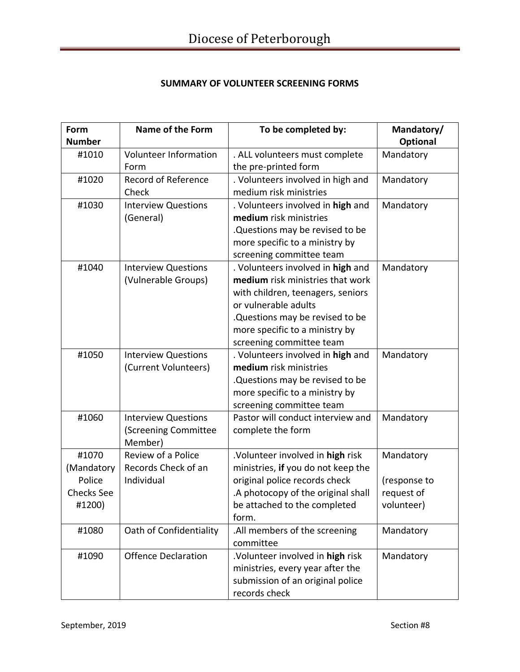## **SUMMARY OF VOLUNTEER SCREENING FORMS**

| Form<br><b>Number</b> | <b>Name of the Form</b>      | To be completed by:                | Mandatory/<br>Optional |
|-----------------------|------------------------------|------------------------------------|------------------------|
| #1010                 | <b>Volunteer Information</b> | . ALL volunteers must complete     | Mandatory              |
|                       | Form                         | the pre-printed form               |                        |
| #1020                 | <b>Record of Reference</b>   | . Volunteers involved in high and  | Mandatory              |
|                       | Check                        | medium risk ministries             |                        |
| #1030                 | <b>Interview Questions</b>   | . Volunteers involved in high and  | Mandatory              |
|                       | (General)                    | medium risk ministries             |                        |
|                       |                              | Questions may be revised to be     |                        |
|                       |                              | more specific to a ministry by     |                        |
|                       |                              | screening committee team           |                        |
| #1040                 | <b>Interview Questions</b>   | . Volunteers involved in high and  | Mandatory              |
|                       | (Vulnerable Groups)          | medium risk ministries that work   |                        |
|                       |                              | with children, teenagers, seniors  |                        |
|                       |                              | or vulnerable adults               |                        |
|                       |                              | .Questions may be revised to be    |                        |
|                       |                              | more specific to a ministry by     |                        |
|                       |                              | screening committee team           |                        |
| #1050                 | <b>Interview Questions</b>   | . Volunteers involved in high and  | Mandatory              |
|                       | (Current Volunteers)         | medium risk ministries             |                        |
|                       |                              | .Questions may be revised to be    |                        |
|                       |                              | more specific to a ministry by     |                        |
|                       |                              | screening committee team           |                        |
| #1060                 | <b>Interview Questions</b>   | Pastor will conduct interview and  | Mandatory              |
|                       | (Screening Committee         | complete the form                  |                        |
|                       | Member)                      |                                    |                        |
| #1070                 | Review of a Police           | .Volunteer involved in high risk   | Mandatory              |
| (Mandatory            | Records Check of an          | ministries, if you do not keep the |                        |
| Police                | Individual                   | original police records check      | (response to           |
| <b>Checks See</b>     |                              | .A photocopy of the original shall | request of             |
| #1200)                |                              | be attached to the completed       | volunteer)             |
|                       |                              | form.                              |                        |
| #1080                 | Oath of Confidentiality      | .All members of the screening      | Mandatory              |
|                       |                              | committee                          |                        |
| #1090                 | <b>Offence Declaration</b>   | .Volunteer involved in high risk   | Mandatory              |
|                       |                              | ministries, every year after the   |                        |
|                       |                              | submission of an original police   |                        |
|                       |                              | records check                      |                        |